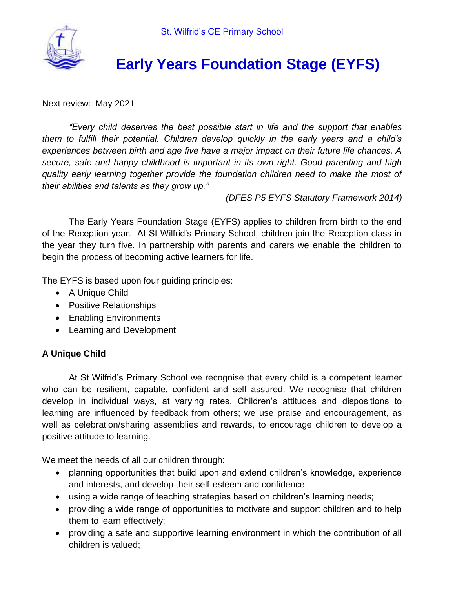

# **Early Years Foundation Stage (EYFS)**

Next review: May 2021

*"Every child deserves the best possible start in life and the support that enables them to fulfill their potential. Children develop quickly in the early years and a child's experiences between birth and age five have a major impact on their future life chances. A secure, safe and happy childhood is important in its own right. Good parenting and high quality early learning together provide the foundation children need to make the most of their abilities and talents as they grow up."*

*(DFES P5 EYFS Statutory Framework 2014)*

The Early Years Foundation Stage (EYFS) applies to children from birth to the end of the Reception year. At St Wilfrid's Primary School, children join the Reception class in the year they turn five. In partnership with parents and carers we enable the children to begin the process of becoming active learners for life.

The EYFS is based upon four guiding principles:

- A Unique Child
- Positive Relationships
- Enabling Environments
- Learning and Development

# **A Unique Child**

At St Wilfrid's Primary School we recognise that every child is a competent learner who can be resilient, capable, confident and self assured. We recognise that children develop in individual ways, at varying rates. Children's attitudes and dispositions to learning are influenced by feedback from others; we use praise and encouragement, as well as celebration/sharing assemblies and rewards, to encourage children to develop a positive attitude to learning.

We meet the needs of all our children through:

- planning opportunities that build upon and extend children's knowledge, experience and interests, and develop their self-esteem and confidence;
- using a wide range of teaching strategies based on children's learning needs;
- providing a wide range of opportunities to motivate and support children and to help them to learn effectively;
- providing a safe and supportive learning environment in which the contribution of all children is valued;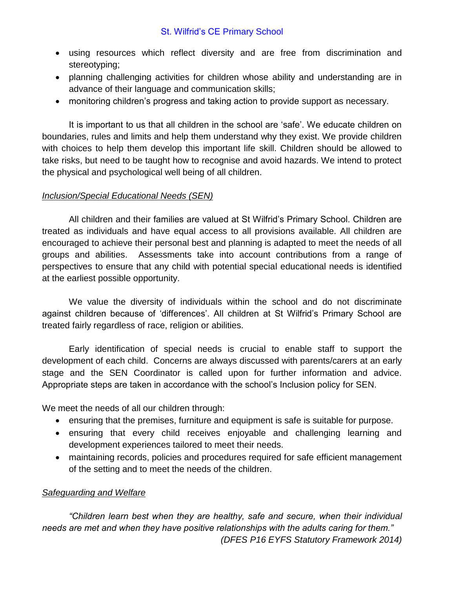- using resources which reflect diversity and are free from discrimination and stereotyping;
- planning challenging activities for children whose ability and understanding are in advance of their language and communication skills;
- monitoring children's progress and taking action to provide support as necessary.

It is important to us that all children in the school are 'safe'. We educate children on boundaries, rules and limits and help them understand why they exist. We provide children with choices to help them develop this important life skill. Children should be allowed to take risks, but need to be taught how to recognise and avoid hazards. We intend to protect the physical and psychological well being of all children.

# *Inclusion/Special Educational Needs (SEN)*

All children and their families are valued at St Wilfrid's Primary School. Children are treated as individuals and have equal access to all provisions available. All children are encouraged to achieve their personal best and planning is adapted to meet the needs of all groups and abilities. Assessments take into account contributions from a range of perspectives to ensure that any child with potential special educational needs is identified at the earliest possible opportunity.

We value the diversity of individuals within the school and do not discriminate against children because of 'differences'. All children at St Wilfrid's Primary School are treated fairly regardless of race, religion or abilities.

Early identification of special needs is crucial to enable staff to support the development of each child. Concerns are always discussed with parents/carers at an early stage and the SEN Coordinator is called upon for further information and advice. Appropriate steps are taken in accordance with the school's Inclusion policy for SEN.

We meet the needs of all our children through:

- ensuring that the premises, furniture and equipment is safe is suitable for purpose.
- ensuring that every child receives enjoyable and challenging learning and development experiences tailored to meet their needs.
- maintaining records, policies and procedures required for safe efficient management of the setting and to meet the needs of the children.

# *Safeguarding and Welfare*

*"Children learn best when they are healthy, safe and secure, when their individual needs are met and when they have positive relationships with the adults caring for them." (DFES P16 EYFS Statutory Framework 2014)*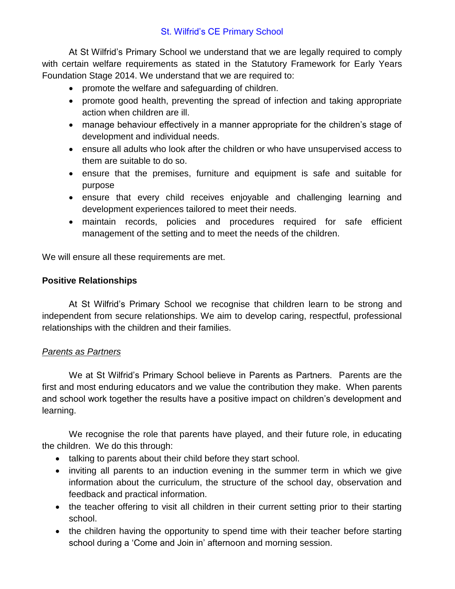At St Wilfrid's Primary School we understand that we are legally required to comply with certain welfare requirements as stated in the Statutory Framework for Early Years Foundation Stage 2014. We understand that we are required to:

- promote the welfare and safeguarding of children.
- promote good health, preventing the spread of infection and taking appropriate action when children are ill.
- manage behaviour effectively in a manner appropriate for the children's stage of development and individual needs.
- ensure all adults who look after the children or who have unsupervised access to them are suitable to do so.
- ensure that the premises, furniture and equipment is safe and suitable for purpose
- ensure that every child receives enjoyable and challenging learning and development experiences tailored to meet their needs.
- maintain records, policies and procedures required for safe efficient management of the setting and to meet the needs of the children.

We will ensure all these requirements are met.

## **Positive Relationships**

At St Wilfrid's Primary School we recognise that children learn to be strong and independent from secure relationships. We aim to develop caring, respectful, professional relationships with the children and their families.

#### *Parents as Partners*

We at St Wilfrid's Primary School believe in Parents as Partners. Parents are the first and most enduring educators and we value the contribution they make. When parents and school work together the results have a positive impact on children's development and learning.

We recognise the role that parents have played, and their future role, in educating the children. We do this through:

- talking to parents about their child before they start school.
- inviting all parents to an induction evening in the summer term in which we give information about the curriculum, the structure of the school day, observation and feedback and practical information.
- the teacher offering to visit all children in their current setting prior to their starting school.
- the children having the opportunity to spend time with their teacher before starting school during a 'Come and Join in' afternoon and morning session.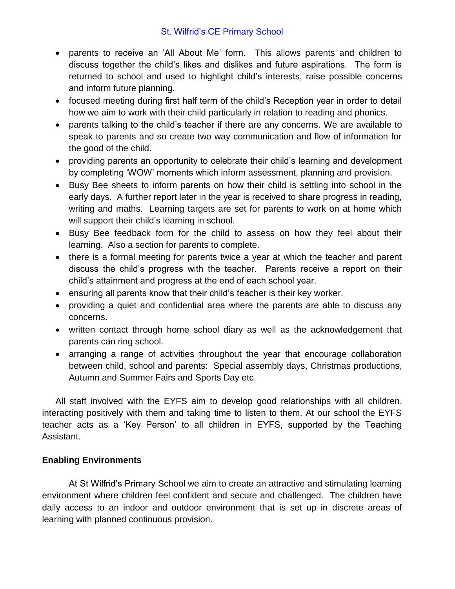- parents to receive an 'All About Me' form. This allows parents and children to discuss together the child's likes and dislikes and future aspirations. The form is returned to school and used to highlight child's interests, raise possible concerns and inform future planning.
- focused meeting during first half term of the child's Reception year in order to detail how we aim to work with their child particularly in relation to reading and phonics.
- parents talking to the child's teacher if there are any concerns. We are available to speak to parents and so create two way communication and flow of information for the good of the child.
- providing parents an opportunity to celebrate their child's learning and development by completing 'WOW' moments which inform assessment, planning and provision.
- Busy Bee sheets to inform parents on how their child is settling into school in the early days. A further report later in the year is received to share progress in reading, writing and maths. Learning targets are set for parents to work on at home which will support their child's learning in school.
- Busy Bee feedback form for the child to assess on how they feel about their learning. Also a section for parents to complete.
- there is a formal meeting for parents twice a year at which the teacher and parent discuss the child's progress with the teacher. Parents receive a report on their child's attainment and progress at the end of each school year.
- ensuring all parents know that their child's teacher is their key worker.
- providing a quiet and confidential area where the parents are able to discuss any concerns.
- written contact through home school diary as well as the acknowledgement that parents can ring school.
- arranging a range of activities throughout the year that encourage collaboration between child, school and parents: Special assembly days, Christmas productions, Autumn and Summer Fairs and Sports Day etc.

All staff involved with the EYFS aim to develop good relationships with all children, interacting positively with them and taking time to listen to them. At our school the EYFS teacher acts as a 'Key Person' to all children in EYFS, supported by the Teaching Assistant.

# **Enabling Environments**

At St Wilfrid's Primary School we aim to create an attractive and stimulating learning environment where children feel confident and secure and challenged. The children have daily access to an indoor and outdoor environment that is set up in discrete areas of learning with planned continuous provision.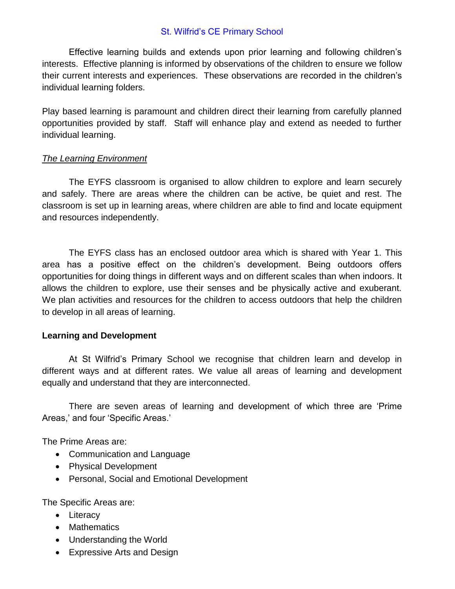Effective learning builds and extends upon prior learning and following children's interests. Effective planning is informed by observations of the children to ensure we follow their current interests and experiences. These observations are recorded in the children's individual learning folders.

Play based learning is paramount and children direct their learning from carefully planned opportunities provided by staff. Staff will enhance play and extend as needed to further individual learning.

#### *The Learning Environment*

The EYFS classroom is organised to allow children to explore and learn securely and safely. There are areas where the children can be active, be quiet and rest. The classroom is set up in learning areas, where children are able to find and locate equipment and resources independently.

The EYFS class has an enclosed outdoor area which is shared with Year 1. This area has a positive effect on the children's development. Being outdoors offers opportunities for doing things in different ways and on different scales than when indoors. It allows the children to explore, use their senses and be physically active and exuberant. We plan activities and resources for the children to access outdoors that help the children to develop in all areas of learning.

#### **Learning and Development**

At St Wilfrid's Primary School we recognise that children learn and develop in different ways and at different rates. We value all areas of learning and development equally and understand that they are interconnected.

There are seven areas of learning and development of which three are 'Prime Areas,' and four 'Specific Areas.'

The Prime Areas are:

- Communication and Language
- Physical Development
- Personal, Social and Emotional Development

The Specific Areas are:

- Literacy
- Mathematics
- Understanding the World
- Expressive Arts and Design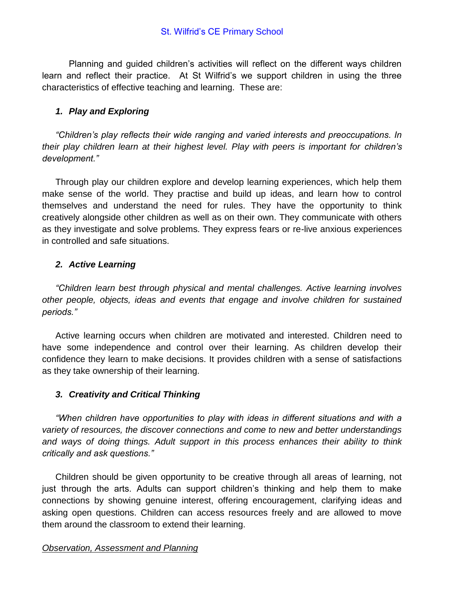Planning and guided children's activities will reflect on the different ways children learn and reflect their practice. At St Wilfrid's we support children in using the three characteristics of effective teaching and learning. These are:

# *1. Play and Exploring*

*"Children's play reflects their wide ranging and varied interests and preoccupations. In their play children learn at their highest level. Play with peers is important for children's development."*

Through play our children explore and develop learning experiences, which help them make sense of the world. They practise and build up ideas, and learn how to control themselves and understand the need for rules. They have the opportunity to think creatively alongside other children as well as on their own. They communicate with others as they investigate and solve problems. They express fears or re-live anxious experiences in controlled and safe situations.

# *2. Active Learning*

*"Children learn best through physical and mental challenges. Active learning involves other people, objects, ideas and events that engage and involve children for sustained periods."*

Active learning occurs when children are motivated and interested. Children need to have some independence and control over their learning. As children develop their confidence they learn to make decisions. It provides children with a sense of satisfactions as they take ownership of their learning.

# *3. Creativity and Critical Thinking*

*"When children have opportunities to play with ideas in different situations and with a variety of resources, the discover connections and come to new and better understandings and ways of doing things. Adult support in this process enhances their ability to think critically and ask questions."*

Children should be given opportunity to be creative through all areas of learning, not just through the arts. Adults can support children's thinking and help them to make connections by showing genuine interest, offering encouragement, clarifying ideas and asking open questions. Children can access resources freely and are allowed to move them around the classroom to extend their learning.

# *Observation, Assessment and Planning*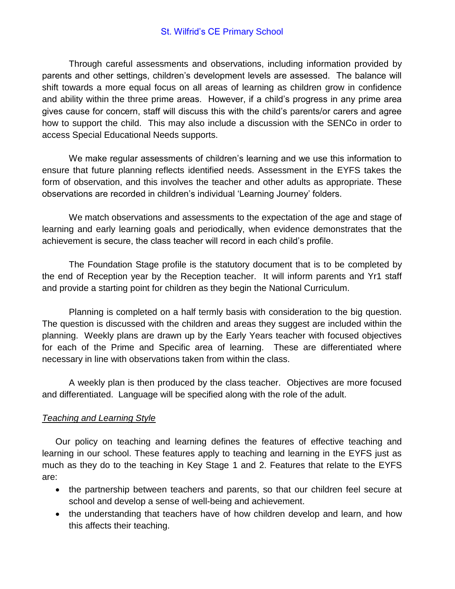Through careful assessments and observations, including information provided by parents and other settings, children's development levels are assessed. The balance will shift towards a more equal focus on all areas of learning as children grow in confidence and ability within the three prime areas. However, if a child's progress in any prime area gives cause for concern, staff will discuss this with the child's parents/or carers and agree how to support the child. This may also include a discussion with the SENCo in order to access Special Educational Needs supports.

We make regular assessments of children's learning and we use this information to ensure that future planning reflects identified needs. Assessment in the EYFS takes the form of observation, and this involves the teacher and other adults as appropriate. These observations are recorded in children's individual 'Learning Journey' folders.

We match observations and assessments to the expectation of the age and stage of learning and early learning goals and periodically, when evidence demonstrates that the achievement is secure, the class teacher will record in each child's profile.

The Foundation Stage profile is the statutory document that is to be completed by the end of Reception year by the Reception teacher. It will inform parents and Yr1 staff and provide a starting point for children as they begin the National Curriculum.

Planning is completed on a half termly basis with consideration to the big question. The question is discussed with the children and areas they suggest are included within the planning. Weekly plans are drawn up by the Early Years teacher with focused objectives for each of the Prime and Specific area of learning. These are differentiated where necessary in line with observations taken from within the class.

A weekly plan is then produced by the class teacher. Objectives are more focused and differentiated. Language will be specified along with the role of the adult.

#### *Teaching and Learning Style*

Our policy on teaching and learning defines the features of effective teaching and learning in our school. These features apply to teaching and learning in the EYFS just as much as they do to the teaching in Key Stage 1 and 2. Features that relate to the EYFS are:

- the partnership between teachers and parents, so that our children feel secure at school and develop a sense of well-being and achievement.
- the understanding that teachers have of how children develop and learn, and how this affects their teaching.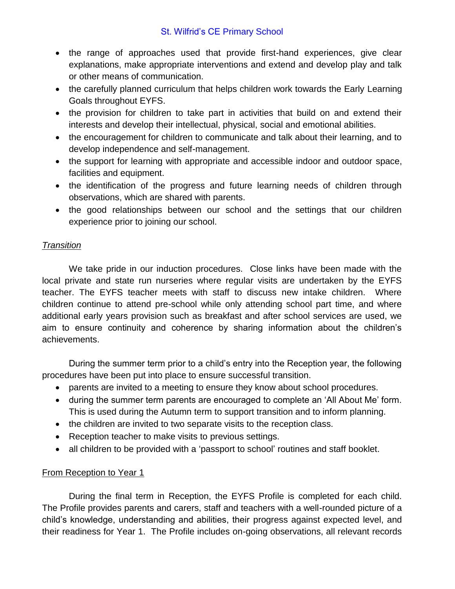- the range of approaches used that provide first-hand experiences, give clear explanations, make appropriate interventions and extend and develop play and talk or other means of communication.
- the carefully planned curriculum that helps children work towards the Early Learning Goals throughout EYFS.
- the provision for children to take part in activities that build on and extend their interests and develop their intellectual, physical, social and emotional abilities.
- the encouragement for children to communicate and talk about their learning, and to develop independence and self-management.
- the support for learning with appropriate and accessible indoor and outdoor space, facilities and equipment.
- the identification of the progress and future learning needs of children through observations, which are shared with parents.
- the good relationships between our school and the settings that our children experience prior to joining our school.

# *Transition*

We take pride in our induction procedures. Close links have been made with the local private and state run nurseries where regular visits are undertaken by the EYFS teacher. The EYFS teacher meets with staff to discuss new intake children. Where children continue to attend pre-school while only attending school part time, and where additional early years provision such as breakfast and after school services are used, we aim to ensure continuity and coherence by sharing information about the children's achievements.

During the summer term prior to a child's entry into the Reception year, the following procedures have been put into place to ensure successful transition.

- parents are invited to a meeting to ensure they know about school procedures.
- during the summer term parents are encouraged to complete an 'All About Me' form. This is used during the Autumn term to support transition and to inform planning.
- the children are invited to two separate visits to the reception class.
- Reception teacher to make visits to previous settings.
- all children to be provided with a 'passport to school' routines and staff booklet.

# From Reception to Year 1

During the final term in Reception, the EYFS Profile is completed for each child. The Profile provides parents and carers, staff and teachers with a well-rounded picture of a child's knowledge, understanding and abilities, their progress against expected level, and their readiness for Year 1. The Profile includes on-going observations, all relevant records